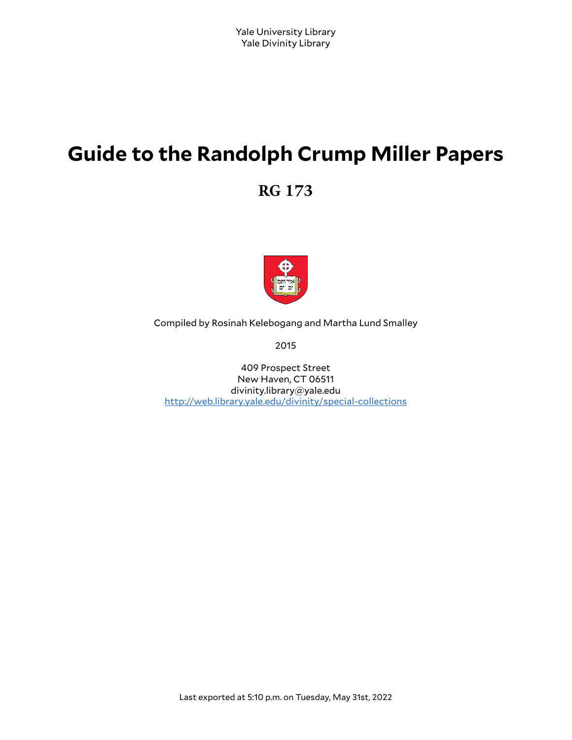# **Guide to the Randolph Crump Miller Papers**

**RG 173**



Compiled by Rosinah Kelebogang and Martha Lund Smalley

2015

409 Prospect Street New Haven, CT 06511 divinity.library@yale.edu <http://web.library.yale.edu/divinity/special-collections>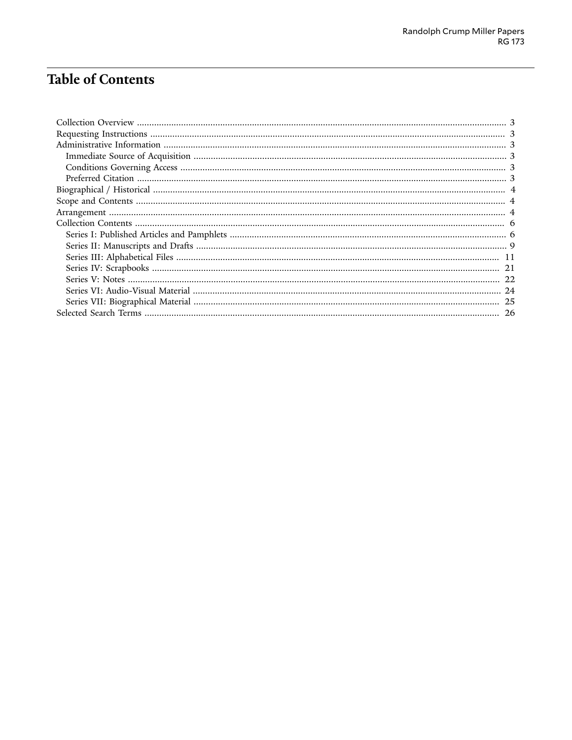# Table of Contents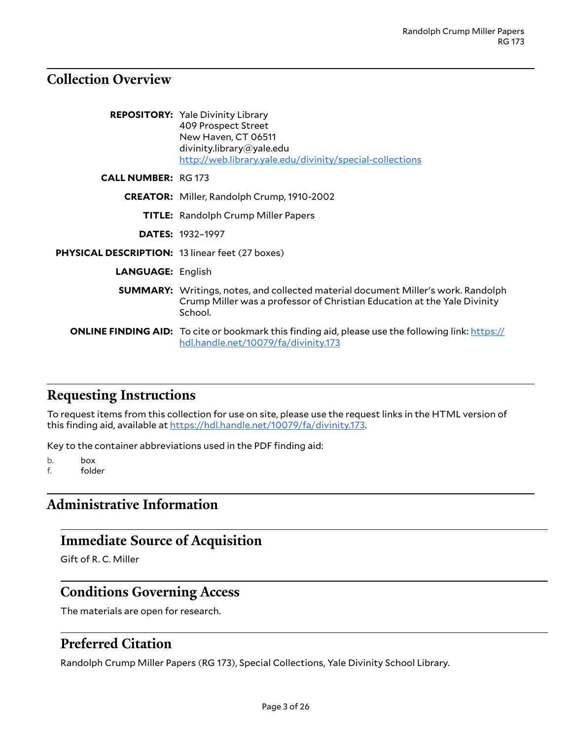### <span id="page-2-0"></span>**Collection Overview**

|                                                        | <b>REPOSITORY:</b> Yale Divinity Library<br>409 Prospect Street<br>New Haven, CT 06511<br>divinity.library@yale.edu<br>http://web.library.yale.edu/divinity/special-collections |
|--------------------------------------------------------|---------------------------------------------------------------------------------------------------------------------------------------------------------------------------------|
| <b>CALL NUMBER: RG 173</b>                             |                                                                                                                                                                                 |
|                                                        | <b>CREATOR:</b> Miller, Randolph Crump, 1910-2002                                                                                                                               |
|                                                        | <b>TITLE:</b> Randolph Crump Miller Papers                                                                                                                                      |
|                                                        | <b>DATES: 1932-1997</b>                                                                                                                                                         |
| <b>PHYSICAL DESCRIPTION: 13 linear feet (27 boxes)</b> |                                                                                                                                                                                 |
| <b>LANGUAGE: English</b>                               |                                                                                                                                                                                 |
|                                                        | <b>SUMMARY:</b> Writings, notes, and collected material document Miller's work. Randolph<br>Crump Miller was a professor of Christian Education at the Yale Divinity<br>School. |
|                                                        | <b>ONLINE FINDING AID:</b> To cite or bookmark this finding aid, please use the following link: https://<br>hdl.handle.net/10079/fa/divinity.173                                |

## <span id="page-2-1"></span>**Requesting Instructions**

To request items from this collection for use on site, please use the request links in the HTML version of this finding aid, available at [https://hdl.handle.net/10079/fa/divinity.173.](https://hdl.handle.net/10079/fa/divinity.173)

Key to the container abbreviations used in the PDF finding aid:

b. box

f. folder

# <span id="page-2-2"></span>**Administrative Information**

# <span id="page-2-3"></span>**Immediate Source of Acquisition**

Gift of R. C. Miller

## <span id="page-2-4"></span>**Conditions Governing Access**

The materials are open for research.

#### <span id="page-2-5"></span>**Preferred Citation**

Randolph Crump Miller Papers (RG 173), Special Collections, Yale Divinity School Library.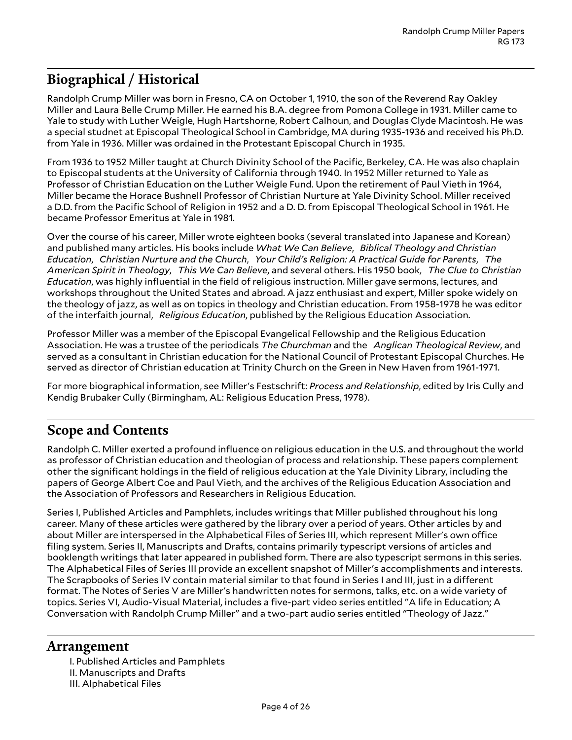# <span id="page-3-0"></span>**Biographical / Historical**

Randolph Crump Miller was born in Fresno, CA on October 1, 1910, the son of the Reverend Ray Oakley Miller and Laura Belle Crump Miller. He earned his B.A. degree from Pomona College in 1931. Miller came to Yale to study with Luther Weigle, Hugh Hartshorne, Robert Calhoun, and Douglas Clyde Macintosh. He was a special studnet at Episcopal Theological School in Cambridge, MA during 1935-1936 and received his Ph.D. from Yale in 1936. Miller was ordained in the Protestant Episcopal Church in 1935.

From 1936 to 1952 Miller taught at Church Divinity School of the Pacific, Berkeley, CA. He was also chaplain to Episcopal students at the University of California through 1940. In 1952 Miller returned to Yale as Professor of Christian Education on the Luther Weigle Fund. Upon the retirement of Paul Vieth in 1964, Miller became the Horace Bushnell Professor of Christian Nurture at Yale Divinity School. Miller received a D.D. from the Pacific School of Religion in 1952 and a D. D. from Episcopal Theological School in 1961. He became Professor Emeritus at Yale in 1981.

Over the course of his career, Miller wrote eighteen books (several translated into Japanese and Korean) and published many articles. His books include *What We Can Believe*, *Biblical Theology and Christian Education*, *Christian Nurture and the Church*, *Your Child's Religion: A Practical Guide for Parents*,  *The American Spirit in Theology*, *This We Can Believe*, and several others. His 1950 book, *The Clue to Christian Education*, was highly influential in the field of religious instruction. Miller gave sermons, lectures, and workshops throughout the United States and abroad. A jazz enthusiast and expert, Miller spoke widely on the theology of jazz, as well as on topics in theology and Christian education. From 1958-1978 he was editor of the interfaith journal, *Religious Education*, published by the Religious Education Association.

Professor Miller was a member of the Episcopal Evangelical Fellowship and the Religious Education Association. He was a trustee of the periodicals *The Churchman* and the *Anglican Theological Review*, and served as a consultant in Christian education for the National Council of Protestant Episcopal Churches. He served as director of Christian education at Trinity Church on the Green in New Haven from 1961-1971.

For more biographical information, see Miller's Festschrift: *Process and Relationship*, edited by Iris Cully and Kendig Brubaker Cully (Birmingham, AL: Religious Education Press, 1978).

## <span id="page-3-1"></span>**Scope and Contents**

Randolph C. Miller exerted a profound influence on religious education in the U.S. and throughout the world as professor of Christian education and theologian of process and relationship. These papers complement other the significant holdings in the field of religious education at the Yale Divinity Library, including the papers of George Albert Coe and Paul Vieth, and the archives of the Religious Education Association and the Association of Professors and Researchers in Religious Education.

Series I, Published Articles and Pamphlets, includes writings that Miller published throughout his long career. Many of these articles were gathered by the library over a period of years. Other articles by and about Miller are interspersed in the Alphabetical Files of Series III, which represent Miller's own office filing system. Series II, Manuscripts and Drafts, contains primarily typescript versions of articles and booklength writings that later appeared in published form. There are also typescript sermons in this series. The Alphabetical Files of Series III provide an excellent snapshot of Miller's accomplishments and interests. The Scrapbooks of Series IV contain material similar to that found in Series I and III, just in a different format. The Notes of Series V are Miller's handwritten notes for sermons, talks, etc. on a wide variety of topics. Series VI, Audio-Visual Material, includes a five-part video series entitled "A life in Education; A Conversation with Randolph Crump Miller" and a two-part audio series entitled "Theology of Jazz."

#### <span id="page-3-2"></span>**Arrangement**

I. Published Articles and Pamphlets II. Manuscripts and Drafts III. Alphabetical Files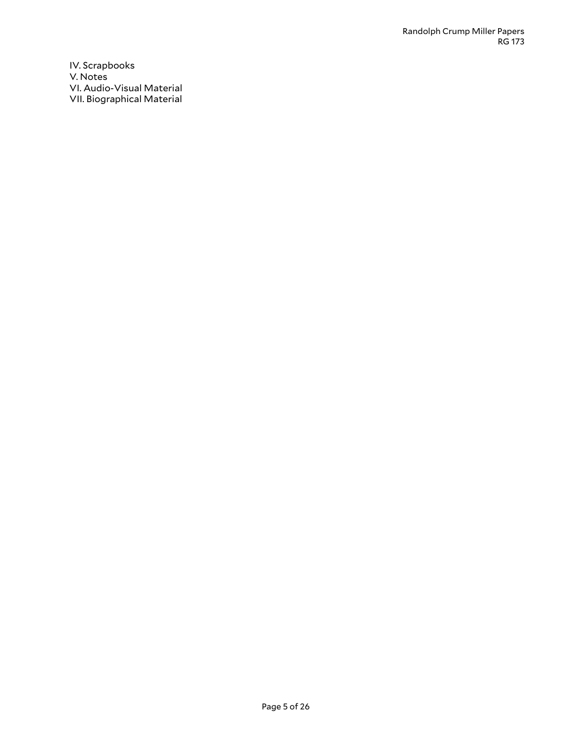IV. Scrapbooks V. Notes VI. Audio-Visual Material VII. Biographical Material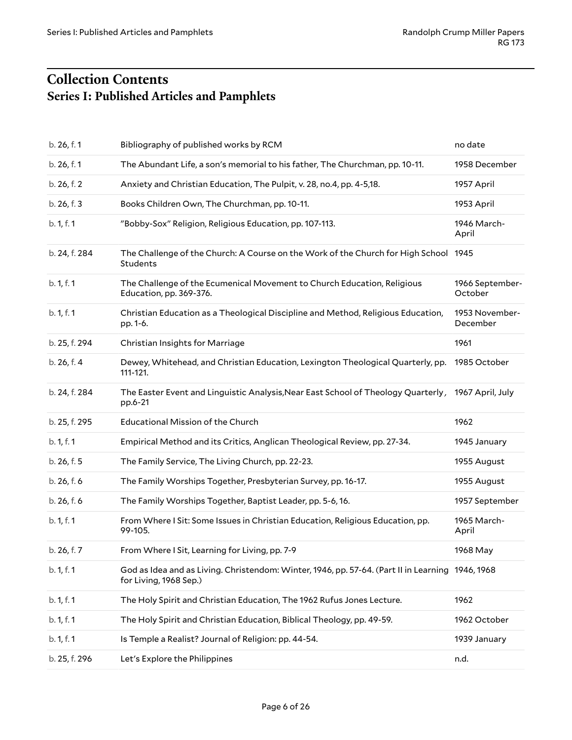# <span id="page-5-1"></span><span id="page-5-0"></span>**Collection Contents Series I: Published Articles and Pamphlets**

| b. 26, f. 1   | Bibliography of published works by RCM                                                                                     | no date                    |
|---------------|----------------------------------------------------------------------------------------------------------------------------|----------------------------|
| b. 26, f. 1   | The Abundant Life, a son's memorial to his father, The Churchman, pp. 10-11.                                               | 1958 December              |
| b. 26, f. 2   | Anxiety and Christian Education, The Pulpit, v. 28, no.4, pp. 4-5,18.                                                      | 1957 April                 |
| b. 26, f. 3   | Books Children Own, The Churchman, pp. 10-11.                                                                              | 1953 April                 |
| b. 1, f. 1    | "Bobby-Sox" Religion, Religious Education, pp. 107-113.                                                                    | 1946 March-<br>April       |
| b. 24, f. 284 | The Challenge of the Church: A Course on the Work of the Church for High School 1945<br>Students                           |                            |
| b. 1, f. 1    | The Challenge of the Ecumenical Movement to Church Education, Religious<br>Education, pp. 369-376.                         | 1966 September-<br>October |
| b. 1, f. 1    | Christian Education as a Theological Discipline and Method, Religious Education,<br>pp. 1-6.                               | 1953 November-<br>December |
| b. 25, f. 294 | Christian Insights for Marriage                                                                                            | 1961                       |
| b. 26, f. 4   | Dewey, Whitehead, and Christian Education, Lexington Theological Quarterly, pp.<br>111-121.                                | 1985 October               |
| b. 24, f. 284 | The Easter Event and Linguistic Analysis, Near East School of Theology Quarterly,<br>pp.6-21                               | 1967 April, July           |
| b. 25, f. 295 | Educational Mission of the Church                                                                                          | 1962                       |
| b. 1, f. 1    | Empirical Method and its Critics, Anglican Theological Review, pp. 27-34.                                                  | 1945 January               |
| b. 26, f. 5   | The Family Service, The Living Church, pp. 22-23.                                                                          | 1955 August                |
| b. 26, f. 6   | The Family Worships Together, Presbyterian Survey, pp. 16-17.                                                              | 1955 August                |
| b. 26, f. 6   | The Family Worships Together, Baptist Leader, pp. 5-6, 16.                                                                 | 1957 September             |
| b. 1, f. 1    | From Where I Sit: Some Issues in Christian Education, Religious Education, pp.<br>99-105.                                  | 1965 March-<br>April       |
| b. 26, f. 7   | From Where I Sit, Learning for Living, pp. 7-9                                                                             | 1968 May                   |
| b. 1, f. 1    | God as Idea and as Living. Christendom: Winter, 1946, pp. 57-64. (Part II in Learning 1946, 1968<br>for Living, 1968 Sep.) |                            |
| b. 1, f. 1    | The Holy Spirit and Christian Education, The 1962 Rufus Jones Lecture.                                                     | 1962                       |
| b. 1, f. 1    | The Holy Spirit and Christian Education, Biblical Theology, pp. 49-59.                                                     | 1962 October               |
| b. 1, f. 1    | Is Temple a Realist? Journal of Religion: pp. 44-54.                                                                       | 1939 January               |
| b. 25, f. 296 | Let's Explore the Philippines                                                                                              | n.d.                       |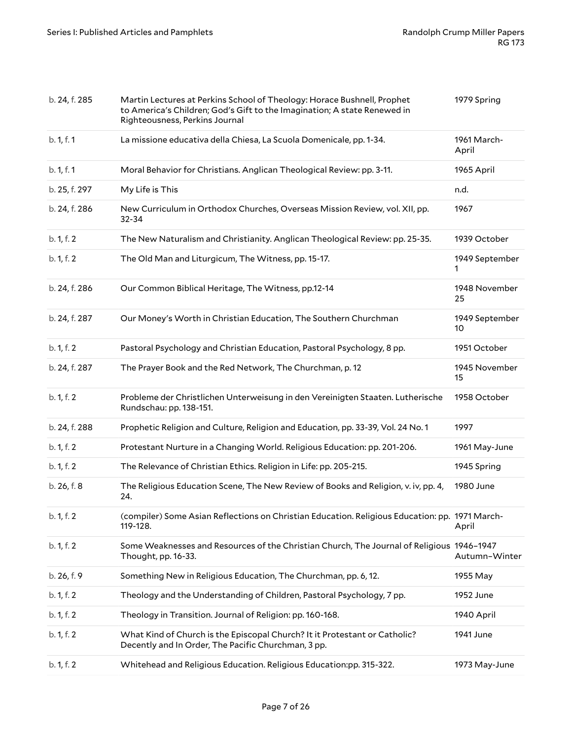| b. 24, f. 285 | Martin Lectures at Perkins School of Theology: Horace Bushnell, Prophet<br>to America's Children; God's Gift to the Imagination; A state Renewed in<br>Righteousness, Perkins Journal | 1979 Spring          |
|---------------|---------------------------------------------------------------------------------------------------------------------------------------------------------------------------------------|----------------------|
| b. 1, f. 1    | La missione educativa della Chiesa, La Scuola Domenicale, pp. 1-34.                                                                                                                   | 1961 March-<br>April |
| b. 1, f. 1    | Moral Behavior for Christians. Anglican Theological Review: pp. 3-11.                                                                                                                 | 1965 April           |
| b. 25, f. 297 | My Life is This                                                                                                                                                                       | n.d.                 |
| b. 24, f. 286 | New Curriculum in Orthodox Churches, Overseas Mission Review, vol. XII, pp.<br>32-34                                                                                                  | 1967                 |
| b. 1, f. 2    | The New Naturalism and Christianity. Anglican Theological Review: pp. 25-35.                                                                                                          | 1939 October         |
| b. 1, f. 2    | The Old Man and Liturgicum, The Witness, pp. 15-17.                                                                                                                                   | 1949 September       |
| b. 24, f. 286 | Our Common Biblical Heritage, The Witness, pp.12-14                                                                                                                                   | 1948 November<br>25  |
| b. 24, f. 287 | Our Money's Worth in Christian Education, The Southern Churchman                                                                                                                      | 1949 September<br>10 |
| b. 1, f. 2    | Pastoral Psychology and Christian Education, Pastoral Psychology, 8 pp.                                                                                                               | 1951 October         |
| b. 24, f. 287 | The Prayer Book and the Red Network, The Churchman, p. 12                                                                                                                             | 1945 November<br>15  |
| b. 1, f. 2    | Probleme der Christlichen Unterweisung in den Vereinigten Staaten. Lutherische<br>Rundschau: pp. 138-151.                                                                             | 1958 October         |
| b. 24, f. 288 | Prophetic Religion and Culture, Religion and Education, pp. 33-39, Vol. 24 No. 1                                                                                                      | 1997                 |
| b. 1, f. 2    | Protestant Nurture in a Changing World. Religious Education: pp. 201-206.                                                                                                             | 1961 May-June        |
| b. 1, f. 2    | The Relevance of Christian Ethics. Religion in Life: pp. 205-215.                                                                                                                     | 1945 Spring          |
| b. 26, f. 8   | The Religious Education Scene, The New Review of Books and Religion, v. iv, pp. 4,<br>24.                                                                                             | 1980 June            |
| b. 1, f. 2    | (compiler) Some Asian Reflections on Christian Education. Religious Education: pp. 1971 March-<br>119-128.                                                                            | April                |
| b. 1, f. 2    | Some Weaknesses and Resources of the Christian Church, The Journal of Religious 1946-1947<br>Thought, pp. 16-33.                                                                      | Autumn-Winter        |
| b. 26, f. 9   | Something New in Religious Education, The Churchman, pp. 6, 12.                                                                                                                       | 1955 May             |
| b. 1, f. 2    | Theology and the Understanding of Children, Pastoral Psychology, 7 pp.                                                                                                                | 1952 June            |
| b. 1, f. 2    | Theology in Transition. Journal of Religion: pp. 160-168.                                                                                                                             | 1940 April           |
| b. 1, f. 2    | What Kind of Church is the Episcopal Church? It it Protestant or Catholic?<br>Decently and In Order, The Pacific Churchman, 3 pp.                                                     | 1941 June            |
| b. 1, f. 2    | Whitehead and Religious Education. Religious Education:pp. 315-322.                                                                                                                   | 1973 May-June        |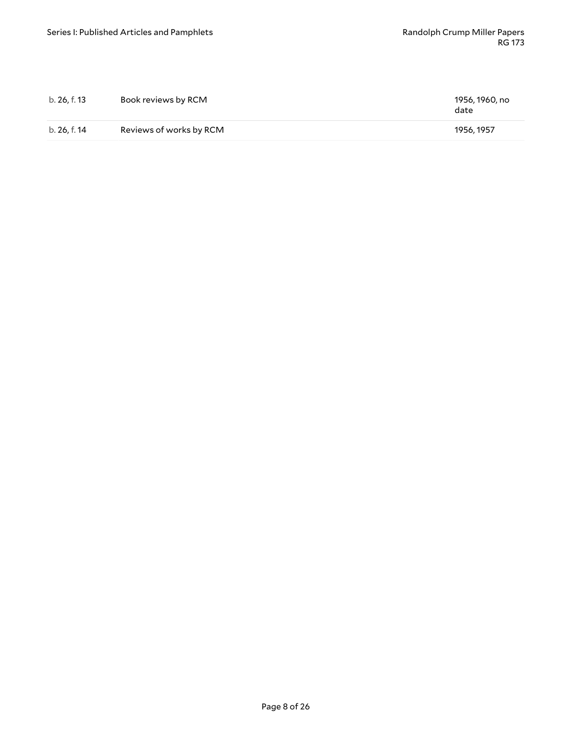| b. 26, f. 13 | Book reviews by RCM     | 1956, 1960, no<br>date |
|--------------|-------------------------|------------------------|
| b. 26. f. 14 | Reviews of works by RCM | 1956.1957              |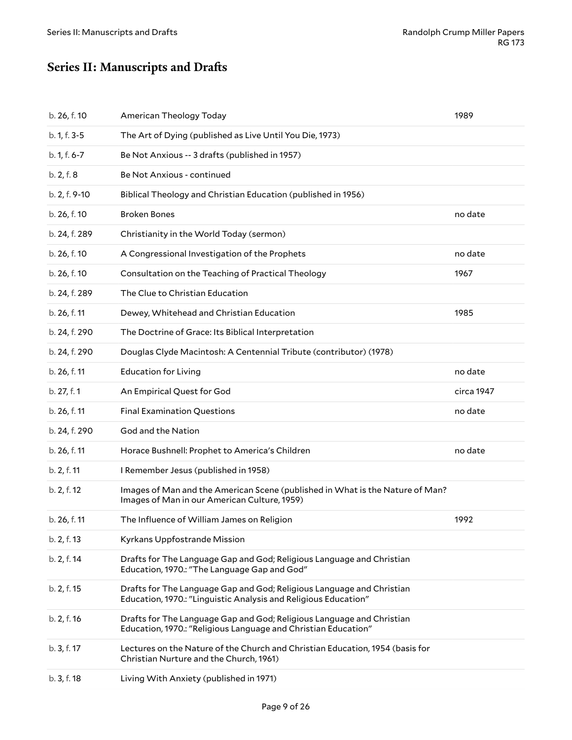# <span id="page-8-0"></span>**Series II:** Manuscripts and Drafts

| b. 26, f. 10  | American Theology Today                                                                                                                  | 1989       |
|---------------|------------------------------------------------------------------------------------------------------------------------------------------|------------|
| b. 1, f. 3-5  | The Art of Dying (published as Live Until You Die, 1973)                                                                                 |            |
| b. 1, f. 6-7  | Be Not Anxious -- 3 drafts (published in 1957)                                                                                           |            |
| b. 2, f. 8    | Be Not Anxious - continued                                                                                                               |            |
| b. 2, f. 9-10 | Biblical Theology and Christian Education (published in 1956)                                                                            |            |
| b. 26, f. 10  | <b>Broken Bones</b>                                                                                                                      | no date    |
| b. 24, f. 289 | Christianity in the World Today (sermon)                                                                                                 |            |
| b. 26, f. 10  | A Congressional Investigation of the Prophets                                                                                            | no date    |
| b. 26, f. 10  | Consultation on the Teaching of Practical Theology                                                                                       | 1967       |
| b. 24, f. 289 | The Clue to Christian Education                                                                                                          |            |
| b. 26, f. 11  | Dewey, Whitehead and Christian Education                                                                                                 | 1985       |
| b. 24, f. 290 | The Doctrine of Grace: Its Biblical Interpretation                                                                                       |            |
| b. 24, f. 290 | Douglas Clyde Macintosh: A Centennial Tribute (contributor) (1978)                                                                       |            |
| b. 26, f. 11  | <b>Education for Living</b>                                                                                                              | no date    |
| b. 27, f. 1   | An Empirical Quest for God                                                                                                               | circa 1947 |
| b. 26, f. 11  | <b>Final Examination Questions</b>                                                                                                       | no date    |
| b. 24, f. 290 | God and the Nation                                                                                                                       |            |
| b. 26, f. 11  | Horace Bushnell: Prophet to America's Children                                                                                           | no date    |
| b. 2, f. 11   | I Remember Jesus (published in 1958)                                                                                                     |            |
| b. 2, f. 12   | Images of Man and the American Scene (published in What is the Nature of Man?<br>Images of Man in our American Culture, 1959)            |            |
| b. 26, f. 11  | The Influence of William James on Religion                                                                                               | 1992       |
| b. 2, f. 13   | Kyrkans Uppfostrande Mission                                                                                                             |            |
| b. 2, f. 14   | Drafts for The Language Gap and God; Religious Language and Christian<br>Education, 1970.: "The Language Gap and God"                    |            |
| b. 2, f. 15   | Drafts for The Language Gap and God; Religious Language and Christian<br>Education, 1970.: "Linguistic Analysis and Religious Education" |            |
| b. 2, f. 16   | Drafts for The Language Gap and God; Religious Language and Christian<br>Education, 1970.: "Religious Language and Christian Education"  |            |
| b. 3, f. 17   | Lectures on the Nature of the Church and Christian Education, 1954 (basis for<br>Christian Nurture and the Church, 1961)                 |            |
| b. 3, f. 18   | Living With Anxiety (published in 1971)                                                                                                  |            |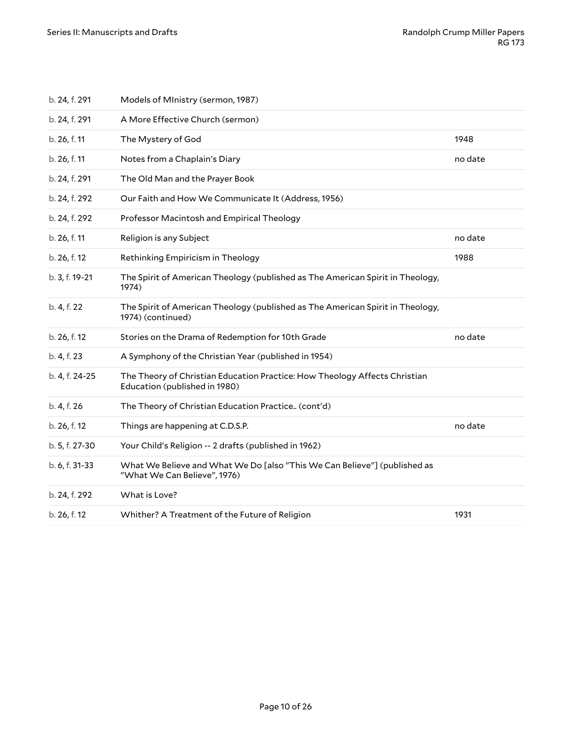| b. 24, f. 291  | Models of MInistry (sermon, 1987)                                                                           |         |
|----------------|-------------------------------------------------------------------------------------------------------------|---------|
| b. 24, f. 291  | A More Effective Church (sermon)                                                                            |         |
| b. 26, f. 11   | The Mystery of God                                                                                          | 1948    |
| b. 26, f. 11   | Notes from a Chaplain's Diary                                                                               | no date |
| b. 24, f. 291  | The Old Man and the Prayer Book                                                                             |         |
| b. 24, f. 292  | Our Faith and How We Communicate It (Address, 1956)                                                         |         |
| b. 24, f. 292  | Professor Macintosh and Empirical Theology                                                                  |         |
| b. 26, f. 11   | Religion is any Subject                                                                                     | no date |
| b. 26, f. 12   | Rethinking Empiricism in Theology                                                                           | 1988    |
| b. 3, f. 19-21 | The Spirit of American Theology (published as The American Spirit in Theology,<br>1974)                     |         |
| b. 4, f. 22    | The Spirit of American Theology (published as The American Spirit in Theology,<br>1974) (continued)         |         |
| b. 26, f. 12   | Stories on the Drama of Redemption for 10th Grade                                                           | no date |
| b. 4, f. 23    | A Symphony of the Christian Year (published in 1954)                                                        |         |
| b. 4, f. 24-25 | The Theory of Christian Education Practice: How Theology Affects Christian<br>Education (published in 1980) |         |
| b. 4, f. 26    | The Theory of Christian Education Practice (cont'd)                                                         |         |
| b. 26, f. 12   | Things are happening at C.D.S.P.                                                                            | no date |
| b. 5, f. 27-30 | Your Child's Religion -- 2 drafts (published in 1962)                                                       |         |
| b. 6, f. 31-33 | What We Believe and What We Do [also "This We Can Believe"] (published as<br>"What We Can Believe", 1976)   |         |
| b. 24, f. 292  | What is Love?                                                                                               |         |
| b. 26, f. 12   | Whither? A Treatment of the Future of Religion                                                              | 1931    |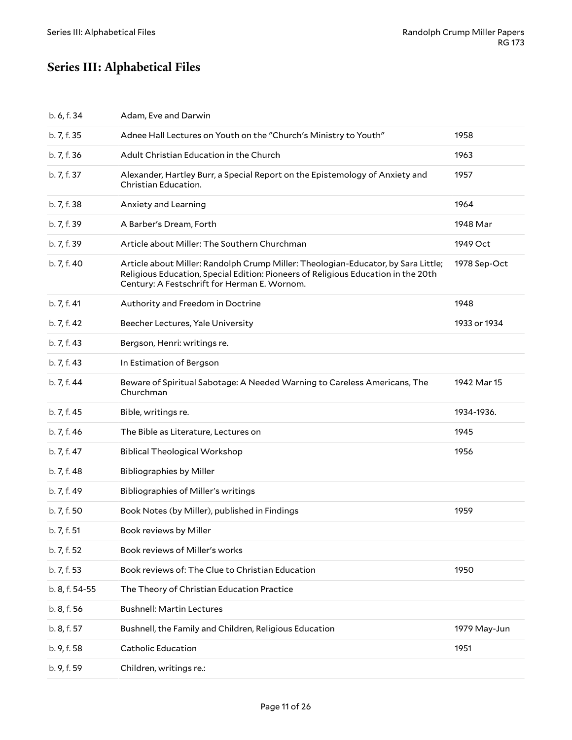# <span id="page-10-0"></span>**Series III: Alphabetical Files**

| b. 6, f. 34    | Adam, Eve and Darwin                                                                                                                                                                                                   |              |
|----------------|------------------------------------------------------------------------------------------------------------------------------------------------------------------------------------------------------------------------|--------------|
| b. 7, f. 35    | Adnee Hall Lectures on Youth on the "Church's Ministry to Youth"                                                                                                                                                       | 1958         |
| b. 7, f. 36    | Adult Christian Education in the Church                                                                                                                                                                                | 1963         |
| b. 7, f. 37    | Alexander, Hartley Burr, a Special Report on the Epistemology of Anxiety and<br>Christian Education.                                                                                                                   | 1957         |
| b. 7, f. 38    | Anxiety and Learning                                                                                                                                                                                                   | 1964         |
| b. 7, f. 39    | A Barber's Dream, Forth                                                                                                                                                                                                | 1948 Mar     |
| b. 7, f. 39    | Article about Miller: The Southern Churchman                                                                                                                                                                           | 1949 Oct     |
| b. 7, f. 40    | Article about Miller: Randolph Crump Miller: Theologian-Educator, by Sara Little;<br>Religious Education, Special Edition: Pioneers of Religious Education in the 20th<br>Century: A Festschrift for Herman E. Wornom. | 1978 Sep-Oct |
| b. 7, f. 41    | Authority and Freedom in Doctrine                                                                                                                                                                                      | 1948         |
| b. 7, f. 42    | Beecher Lectures, Yale University                                                                                                                                                                                      | 1933 or 1934 |
| b. 7, f. 43    | Bergson, Henri: writings re.                                                                                                                                                                                           |              |
| b. 7, f. 43    | In Estimation of Bergson                                                                                                                                                                                               |              |
| b. 7, f. 44    | Beware of Spiritual Sabotage: A Needed Warning to Careless Americans, The<br>Churchman                                                                                                                                 | 1942 Mar 15  |
| b. 7, f. 45    | Bible, writings re.                                                                                                                                                                                                    | 1934-1936.   |
| b. 7, f. 46    | The Bible as Literature, Lectures on                                                                                                                                                                                   | 1945         |
| b. 7, f. 47    | <b>Biblical Theological Workshop</b>                                                                                                                                                                                   | 1956         |
| b. 7, f. 48    | <b>Bibliographies by Miller</b>                                                                                                                                                                                        |              |
| b. 7, f. 49    | Bibliographies of Miller's writings                                                                                                                                                                                    |              |
| b. 7, f. 50    | Book Notes (by Miller), published in Findings                                                                                                                                                                          | 1959         |
| b. 7, f. 51    | Book reviews by Miller                                                                                                                                                                                                 |              |
| b. 7, f. 52    | Book reviews of Miller's works                                                                                                                                                                                         |              |
| b. 7, f. 53    | Book reviews of: The Clue to Christian Education                                                                                                                                                                       | 1950         |
| b. 8, f. 54-55 | The Theory of Christian Education Practice                                                                                                                                                                             |              |
| b. 8, f. 56    | <b>Bushnell: Martin Lectures</b>                                                                                                                                                                                       |              |
| b. 8, f. 57    | Bushnell, the Family and Children, Religious Education                                                                                                                                                                 | 1979 May-Jun |
| b. 9, f. 58    | <b>Catholic Education</b>                                                                                                                                                                                              | 1951         |
| b. 9, f. 59    | Children, writings re.:                                                                                                                                                                                                |              |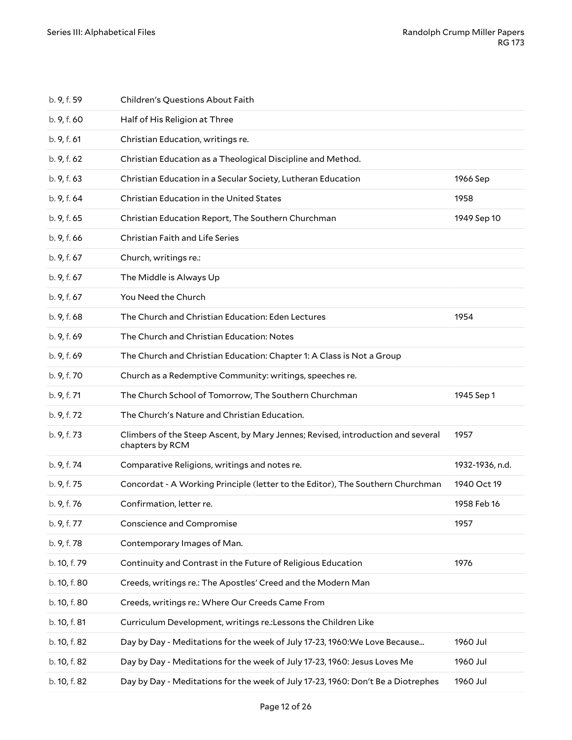| b. 9, f. 59  | Children's Questions About Faith                                                                   |                 |
|--------------|----------------------------------------------------------------------------------------------------|-----------------|
| b. 9, f. 60  | Half of His Religion at Three                                                                      |                 |
| b. 9, f. 61  | Christian Education, writings re.                                                                  |                 |
| b. 9, f. 62  | Christian Education as a Theological Discipline and Method.                                        |                 |
| b. 9, f. 63  | Christian Education in a Secular Society, Lutheran Education                                       | 1966 Sep        |
| b. 9, f. 64  | <b>Christian Education in the United States</b>                                                    | 1958            |
| b. 9, f. 65  | Christian Education Report, The Southern Churchman                                                 | 1949 Sep 10     |
| b. 9, f. 66  | Christian Faith and Life Series                                                                    |                 |
| b. 9, f. 67  | Church, writings re.:                                                                              |                 |
| b. 9, f. 67  | The Middle is Always Up                                                                            |                 |
| b. 9, f. 67  | You Need the Church                                                                                |                 |
| b. 9, f. 68  | The Church and Christian Education: Eden Lectures                                                  | 1954            |
| b. 9, f. 69  | The Church and Christian Education: Notes                                                          |                 |
| b. 9, f. 69  | The Church and Christian Education: Chapter 1: A Class is Not a Group                              |                 |
| b. 9, f. 70  | Church as a Redemptive Community: writings, speeches re.                                           |                 |
| b. 9, f. 71  | The Church School of Tomorrow, The Southern Churchman                                              | 1945 Sep 1      |
| b. 9, f. 72  | The Church's Nature and Christian Education.                                                       |                 |
| b. 9, f. 73  | Climbers of the Steep Ascent, by Mary Jennes; Revised, introduction and several<br>chapters by RCM | 1957            |
| b. 9, f. 74  | Comparative Religions, writings and notes re.                                                      | 1932-1936, n.d. |
| b. 9, f. 75  | Concordat - A Working Principle (letter to the Editor), The Southern Churchman                     | 1940 Oct 19     |
| b. 9, f. 76  | Confirmation, letter re.                                                                           | 1958 Feb 16     |
| b. 9, f. 77  | Conscience and Compromise                                                                          | 1957            |
| b. 9, f. 78  | Contemporary Images of Man.                                                                        |                 |
| b. 10, f. 79 | Continuity and Contrast in the Future of Religious Education                                       | 1976            |
| b. 10, f. 80 | Creeds, writings re.: The Apostles' Creed and the Modern Man                                       |                 |
| b. 10, f. 80 | Creeds, writings re.: Where Our Creeds Came From                                                   |                 |
| b. 10, f. 81 | Curriculum Development, writings re.: Lessons the Children Like                                    |                 |
| b. 10, f. 82 | Day by Day - Meditations for the week of July 17-23, 1960: We Love Because                         | 1960 Jul        |
| b. 10, f. 82 | Day by Day - Meditations for the week of July 17-23, 1960: Jesus Loves Me                          | 1960 Jul        |
| b. 10, f. 82 | Day by Day - Meditations for the week of July 17-23, 1960: Don't Be a Diotrephes                   | 1960 Jul        |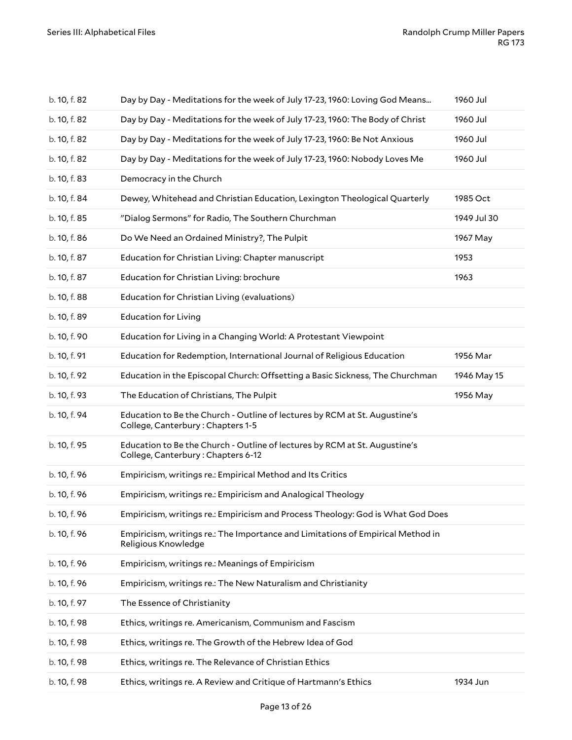| b. 10, f. 82 | Day by Day - Meditations for the week of July 17-23, 1960: Loving God Means                                      | 1960 Jul    |
|--------------|------------------------------------------------------------------------------------------------------------------|-------------|
| b. 10, f. 82 | Day by Day - Meditations for the week of July 17-23, 1960: The Body of Christ                                    | 1960 Jul    |
| b. 10, f. 82 | Day by Day - Meditations for the week of July 17-23, 1960: Be Not Anxious                                        | 1960 Jul    |
| b. 10, f. 82 | Day by Day - Meditations for the week of July 17-23, 1960: Nobody Loves Me                                       | 1960 Jul    |
| b. 10, f. 83 | Democracy in the Church                                                                                          |             |
| b. 10, f. 84 | Dewey, Whitehead and Christian Education, Lexington Theological Quarterly                                        | 1985 Oct    |
| b. 10, f. 85 | "Dialog Sermons" for Radio, The Southern Churchman                                                               | 1949 Jul 30 |
| b. 10, f. 86 | Do We Need an Ordained Ministry?, The Pulpit                                                                     | 1967 May    |
| b. 10, f. 87 | Education for Christian Living: Chapter manuscript                                                               | 1953        |
| b. 10, f. 87 | Education for Christian Living: brochure                                                                         | 1963        |
| b. 10, f. 88 | Education for Christian Living (evaluations)                                                                     |             |
| b. 10, f. 89 | <b>Education for Living</b>                                                                                      |             |
| b. 10, f. 90 | Education for Living in a Changing World: A Protestant Viewpoint                                                 |             |
| b. 10, f. 91 | Education for Redemption, International Journal of Religious Education                                           | 1956 Mar    |
| b. 10, f. 92 | Education in the Episcopal Church: Offsetting a Basic Sickness, The Churchman                                    | 1946 May 15 |
| b. 10, f. 93 | The Education of Christians, The Pulpit                                                                          | 1956 May    |
| b. 10, f. 94 | Education to Be the Church - Outline of lectures by RCM at St. Augustine's<br>College, Canterbury: Chapters 1-5  |             |
| b. 10, f. 95 | Education to Be the Church - Outline of lectures by RCM at St. Augustine's<br>College, Canterbury: Chapters 6-12 |             |
| b. 10, f. 96 | Empiricism, writings re.: Empirical Method and Its Critics                                                       |             |
| b. 10, f. 96 | Empiricism, writings re.: Empiricism and Analogical Theology                                                     |             |
| b. 10, f. 96 | Empiricism, writings re.: Empiricism and Process Theology: God is What God Does                                  |             |
| b. 10, f. 96 | Empiricism, writings re.: The Importance and Limitations of Empirical Method in<br>Religious Knowledge           |             |
| b. 10, f. 96 | Empiricism, writings re.: Meanings of Empiricism                                                                 |             |
| b. 10, f. 96 | Empiricism, writings re.: The New Naturalism and Christianity                                                    |             |
| b. 10, f. 97 | The Essence of Christianity                                                                                      |             |
| b. 10, f. 98 | Ethics, writings re. Americanism, Communism and Fascism                                                          |             |
| b. 10, f. 98 | Ethics, writings re. The Growth of the Hebrew Idea of God                                                        |             |
| b. 10, f. 98 |                                                                                                                  |             |
|              | Ethics, writings re. The Relevance of Christian Ethics                                                           |             |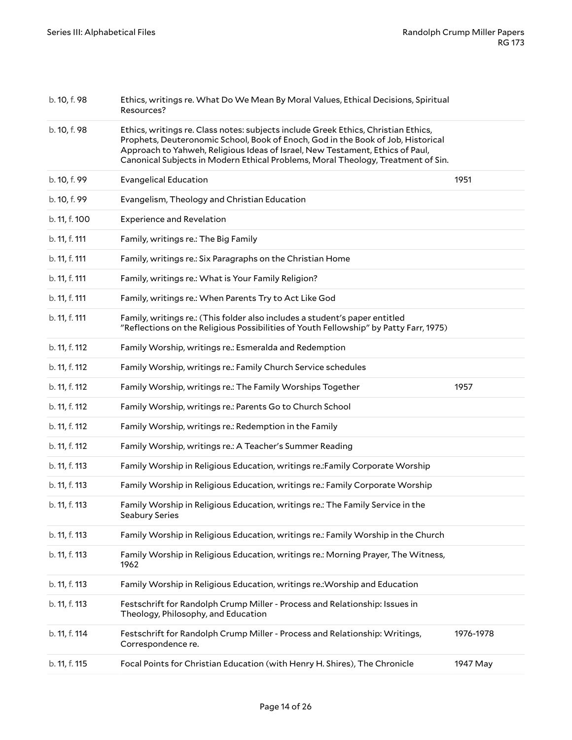| b. 10, f. 98  | Ethics, writings re. What Do We Mean By Moral Values, Ethical Decisions, Spiritual<br>Resources?                                                                                                                                                                                                                                            |           |
|---------------|---------------------------------------------------------------------------------------------------------------------------------------------------------------------------------------------------------------------------------------------------------------------------------------------------------------------------------------------|-----------|
| b. 10, f. 98  | Ethics, writings re. Class notes: subjects include Greek Ethics, Christian Ethics,<br>Prophets, Deuteronomic School, Book of Enoch, God in the Book of Job, Historical<br>Approach to Yahweh, Religious Ideas of Israel, New Testament, Ethics of Paul,<br>Canonical Subjects in Modern Ethical Problems, Moral Theology, Treatment of Sin. |           |
| b. 10, f. 99  | <b>Evangelical Education</b>                                                                                                                                                                                                                                                                                                                | 1951      |
| b. 10, f. 99  | Evangelism, Theology and Christian Education                                                                                                                                                                                                                                                                                                |           |
| b. 11, f. 100 | <b>Experience and Revelation</b>                                                                                                                                                                                                                                                                                                            |           |
| b. 11, f. 111 | Family, writings re.: The Big Family                                                                                                                                                                                                                                                                                                        |           |
| b. 11, f. 111 | Family, writings re.: Six Paragraphs on the Christian Home                                                                                                                                                                                                                                                                                  |           |
| b. 11, f. 111 | Family, writings re.: What is Your Family Religion?                                                                                                                                                                                                                                                                                         |           |
| b. 11, f. 111 | Family, writings re.: When Parents Try to Act Like God                                                                                                                                                                                                                                                                                      |           |
| b. 11, f. 111 | Family, writings re.: (This folder also includes a student's paper entitled<br>"Reflections on the Religious Possibilities of Youth Fellowship" by Patty Farr, 1975)                                                                                                                                                                        |           |
| b. 11, f. 112 | Family Worship, writings re.: Esmeralda and Redemption                                                                                                                                                                                                                                                                                      |           |
| b. 11, f. 112 | Family Worship, writings re.: Family Church Service schedules                                                                                                                                                                                                                                                                               |           |
| b. 11, f. 112 | Family Worship, writings re.: The Family Worships Together                                                                                                                                                                                                                                                                                  | 1957      |
| b. 11, f. 112 | Family Worship, writings re.: Parents Go to Church School                                                                                                                                                                                                                                                                                   |           |
| b. 11, f. 112 | Family Worship, writings re.: Redemption in the Family                                                                                                                                                                                                                                                                                      |           |
| b. 11, f. 112 | Family Worship, writings re.: A Teacher's Summer Reading                                                                                                                                                                                                                                                                                    |           |
| b. 11, f. 113 | Family Worship in Religious Education, writings re.: Family Corporate Worship                                                                                                                                                                                                                                                               |           |
| b. 11, f. 113 | Family Worship in Religious Education, writings re.: Family Corporate Worship                                                                                                                                                                                                                                                               |           |
| b. 11, f. 113 | Family Worship in Religious Education, writings re.: The Family Service in the<br>Seabury Series                                                                                                                                                                                                                                            |           |
| b. 11, f. 113 | Family Worship in Religious Education, writings re.: Family Worship in the Church                                                                                                                                                                                                                                                           |           |
| b. 11, f. 113 | Family Worship in Religious Education, writings re.: Morning Prayer, The Witness,<br>1962                                                                                                                                                                                                                                                   |           |
| b. 11, f. 113 | Family Worship in Religious Education, writings re.: Worship and Education                                                                                                                                                                                                                                                                  |           |
| b. 11, f. 113 | Festschrift for Randolph Crump Miller - Process and Relationship: Issues in<br>Theology, Philosophy, and Education                                                                                                                                                                                                                          |           |
| b. 11, f. 114 | Festschrift for Randolph Crump Miller - Process and Relationship: Writings,<br>Correspondence re.                                                                                                                                                                                                                                           | 1976-1978 |
| b. 11, f. 115 | Focal Points for Christian Education (with Henry H. Shires), The Chronicle                                                                                                                                                                                                                                                                  | 1947 May  |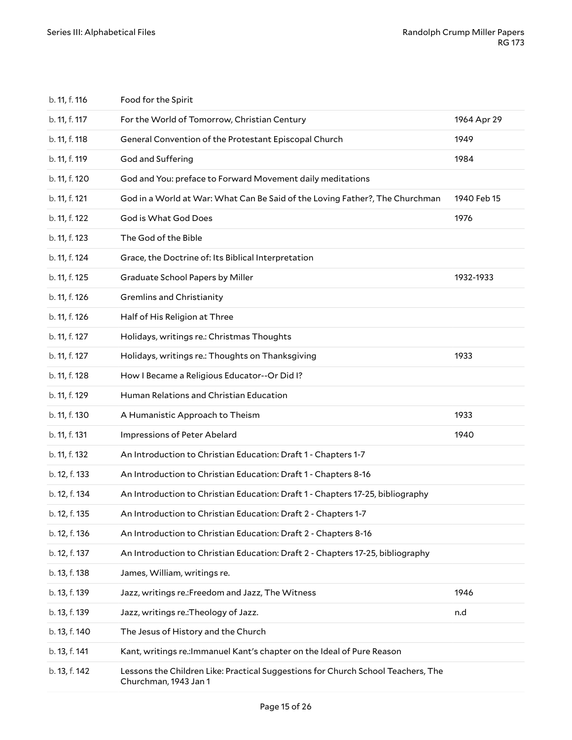| b. 11, f. 116 | Food for the Spirit                                                                                       |             |
|---------------|-----------------------------------------------------------------------------------------------------------|-------------|
| b. 11, f. 117 | For the World of Tomorrow, Christian Century                                                              | 1964 Apr 29 |
| b. 11, f. 118 | General Convention of the Protestant Episcopal Church                                                     | 1949        |
| b. 11, f. 119 | God and Suffering                                                                                         | 1984        |
| b. 11, f. 120 | God and You: preface to Forward Movement daily meditations                                                |             |
| b. 11, f. 121 | God in a World at War: What Can Be Said of the Loving Father?, The Churchman                              | 1940 Feb 15 |
| b. 11, f. 122 | God is What God Does                                                                                      | 1976        |
| b. 11, f. 123 | The God of the Bible                                                                                      |             |
| b. 11, f. 124 | Grace, the Doctrine of: Its Biblical Interpretation                                                       |             |
| b. 11, f. 125 | Graduate School Papers by Miller                                                                          | 1932-1933   |
| b. 11, f. 126 | <b>Gremlins and Christianity</b>                                                                          |             |
| b. 11, f. 126 | Half of His Religion at Three                                                                             |             |
| b. 11, f. 127 | Holidays, writings re.: Christmas Thoughts                                                                |             |
| b. 11, f. 127 | Holidays, writings re.: Thoughts on Thanksgiving                                                          | 1933        |
| b. 11, f. 128 | How I Became a Religious Educator--Or Did I?                                                              |             |
| b. 11, f. 129 | Human Relations and Christian Education                                                                   |             |
| b. 11, f. 130 | A Humanistic Approach to Theism                                                                           | 1933        |
| b. 11, f. 131 | Impressions of Peter Abelard                                                                              | 1940        |
| b. 11, f. 132 | An Introduction to Christian Education: Draft 1 - Chapters 1-7                                            |             |
| b. 12, f. 133 | An Introduction to Christian Education: Draft 1 - Chapters 8-16                                           |             |
| b. 12, f. 134 | An Introduction to Christian Education: Draft 1 - Chapters 17-25, bibliography                            |             |
| b. 12, f. 135 | An Introduction to Christian Education: Draft 2 - Chapters 1-7                                            |             |
| b. 12, f. 136 | An Introduction to Christian Education: Draft 2 - Chapters 8-16                                           |             |
| b. 12, f. 137 | An Introduction to Christian Education: Draft 2 - Chapters 17-25, bibliography                            |             |
| b. 13, f. 138 | James, William, writings re.                                                                              |             |
| b. 13, f. 139 | Jazz, writings re.: Freedom and Jazz, The Witness                                                         | 1946        |
| b. 13, f. 139 | Jazz, writings re.: Theology of Jazz.                                                                     | n.d         |
| b. 13, f. 140 | The Jesus of History and the Church                                                                       |             |
| b. 13, f. 141 | Kant, writings re.: Immanuel Kant's chapter on the Ideal of Pure Reason                                   |             |
| b. 13, f. 142 | Lessons the Children Like: Practical Suggestions for Church School Teachers, The<br>Churchman, 1943 Jan 1 |             |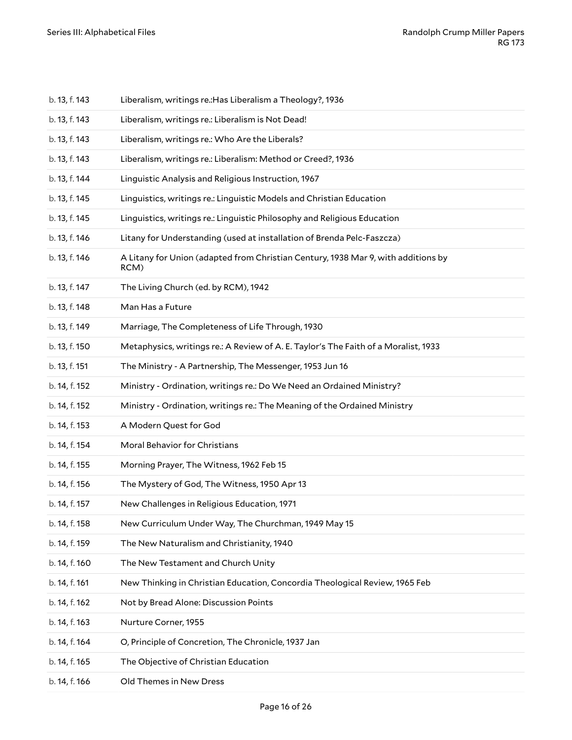| b. 13, f. 143 | Liberalism, writings re.: Has Liberalism a Theology?, 1936                                |
|---------------|-------------------------------------------------------------------------------------------|
| b. 13, f. 143 | Liberalism, writings re.: Liberalism is Not Dead!                                         |
| b. 13, f. 143 | Liberalism, writings re.: Who Are the Liberals?                                           |
| b. 13, f. 143 | Liberalism, writings re.: Liberalism: Method or Creed?, 1936                              |
| b. 13, f. 144 | Linguistic Analysis and Religious Instruction, 1967                                       |
| b. 13, f. 145 | Linguistics, writings re.: Linguistic Models and Christian Education                      |
| b. 13, f. 145 | Linguistics, writings re.: Linguistic Philosophy and Religious Education                  |
| b. 13, f. 146 | Litany for Understanding (used at installation of Brenda Pelc-Faszcza)                    |
| b. 13, f. 146 | A Litany for Union (adapted from Christian Century, 1938 Mar 9, with additions by<br>RCM) |
| b. 13, f. 147 | The Living Church (ed. by RCM), 1942                                                      |
| b. 13, f. 148 | Man Has a Future                                                                          |
| b. 13, f. 149 | Marriage, The Completeness of Life Through, 1930                                          |
| b. 13, f. 150 | Metaphysics, writings re.: A Review of A. E. Taylor's The Faith of a Moralist, 1933       |
| b. 13, f. 151 | The Ministry - A Partnership, The Messenger, 1953 Jun 16                                  |
| b. 14, f. 152 | Ministry - Ordination, writings re.: Do We Need an Ordained Ministry?                     |
| b. 14, f. 152 | Ministry - Ordination, writings re.: The Meaning of the Ordained Ministry                 |
| b. 14, f. 153 | A Modern Quest for God                                                                    |
| b. 14, f. 154 | Moral Behavior for Christians                                                             |
| b. 14, f. 155 | Morning Prayer, The Witness, 1962 Feb 15                                                  |
| b. 14, f. 156 | The Mystery of God, The Witness, 1950 Apr 13                                              |
| b. 14, f. 157 | New Challenges in Religious Education, 1971                                               |
| b. 14, f. 158 | New Curriculum Under Way, The Churchman, 1949 May 15                                      |
| b. 14, f. 159 | The New Naturalism and Christianity, 1940                                                 |
| b. 14, f. 160 | The New Testament and Church Unity                                                        |
| b. 14, f. 161 | New Thinking in Christian Education, Concordia Theological Review, 1965 Feb               |
| b. 14, f. 162 | Not by Bread Alone: Discussion Points                                                     |
| b. 14, f. 163 | Nurture Corner, 1955                                                                      |
| b. 14, f. 164 | O, Principle of Concretion, The Chronicle, 1937 Jan                                       |
| b. 14, f. 165 | The Objective of Christian Education                                                      |
| b. 14, f. 166 | Old Themes in New Dress                                                                   |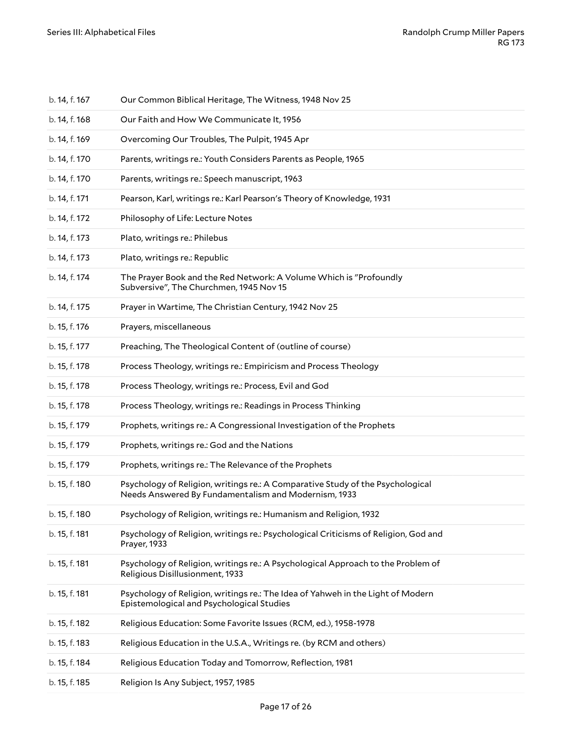| b. 14, f. 167 | Our Common Biblical Heritage, The Witness, 1948 Nov 25                                                                                 |
|---------------|----------------------------------------------------------------------------------------------------------------------------------------|
| b. 14, f. 168 | Our Faith and How We Communicate It, 1956                                                                                              |
| b. 14, f. 169 | Overcoming Our Troubles, The Pulpit, 1945 Apr                                                                                          |
| b. 14, f. 170 | Parents, writings re.: Youth Considers Parents as People, 1965                                                                         |
| b. 14, f. 170 | Parents, writings re.: Speech manuscript, 1963                                                                                         |
| b. 14, f. 171 | Pearson, Karl, writings re.: Karl Pearson's Theory of Knowledge, 1931                                                                  |
| b. 14, f. 172 | Philosophy of Life: Lecture Notes                                                                                                      |
| b. 14, f. 173 | Plato, writings re.: Philebus                                                                                                          |
| b. 14, f. 173 | Plato, writings re.: Republic                                                                                                          |
| b. 14, f. 174 | The Prayer Book and the Red Network: A Volume Which is "Profoundly<br>Subversive", The Churchmen, 1945 Nov 15                          |
| b. 14, f. 175 | Prayer in Wartime, The Christian Century, 1942 Nov 25                                                                                  |
| b. 15, f. 176 | Prayers, miscellaneous                                                                                                                 |
| b. 15, f. 177 | Preaching, The Theological Content of (outline of course)                                                                              |
| b. 15, f. 178 | Process Theology, writings re.: Empiricism and Process Theology                                                                        |
| b. 15, f. 178 | Process Theology, writings re.: Process, Evil and God                                                                                  |
| b. 15, f. 178 | Process Theology, writings re.: Readings in Process Thinking                                                                           |
| b. 15, f. 179 | Prophets, writings re.: A Congressional Investigation of the Prophets                                                                  |
| b. 15, f. 179 | Prophets, writings re.: God and the Nations                                                                                            |
| b. 15, f. 179 | Prophets, writings re.: The Relevance of the Prophets                                                                                  |
| b. 15, f. 180 | Psychology of Religion, writings re.: A Comparative Study of the Psychological<br>Needs Answered By Fundamentalism and Modernism, 1933 |
| b. 15, f. 180 | Psychology of Religion, writings re.: Humanism and Religion, 1932                                                                      |
| b. 15, f. 181 | Psychology of Religion, writings re.: Psychological Criticisms of Religion, God and<br>Prayer, 1933                                    |
| b. 15, f. 181 | Psychology of Religion, writings re.: A Psychological Approach to the Problem of<br>Religious Disillusionment, 1933                    |
| b. 15, f. 181 | Psychology of Religion, writings re.: The Idea of Yahweh in the Light of Modern<br>Epistemological and Psychological Studies           |
| b. 15, f. 182 | Religious Education: Some Favorite Issues (RCM, ed.), 1958-1978                                                                        |
| b. 15, f. 183 | Religious Education in the U.S.A., Writings re. (by RCM and others)                                                                    |
| b. 15, f. 184 | Religious Education Today and Tomorrow, Reflection, 1981                                                                               |
| b. 15, f. 185 | Religion Is Any Subject, 1957, 1985                                                                                                    |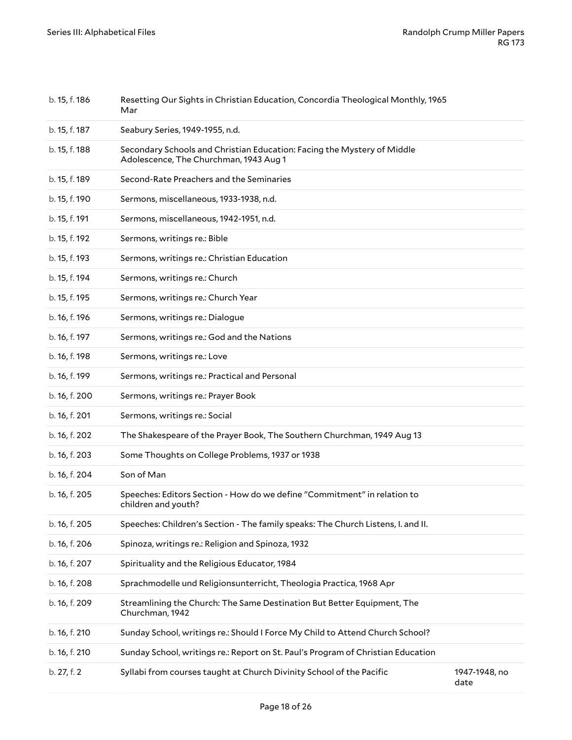| b. 15, f. 186 | Resetting Our Sights in Christian Education, Concordia Theological Monthly, 1965<br>Mar                           |                       |
|---------------|-------------------------------------------------------------------------------------------------------------------|-----------------------|
| b. 15, f. 187 | Seabury Series, 1949-1955, n.d.                                                                                   |                       |
| b. 15, f. 188 | Secondary Schools and Christian Education: Facing the Mystery of Middle<br>Adolescence, The Churchman, 1943 Aug 1 |                       |
| b. 15, f. 189 | Second-Rate Preachers and the Seminaries                                                                          |                       |
| b. 15, f. 190 | Sermons, miscellaneous, 1933-1938, n.d.                                                                           |                       |
| b. 15, f. 191 | Sermons, miscellaneous, 1942-1951, n.d.                                                                           |                       |
| b. 15, f. 192 | Sermons, writings re.: Bible                                                                                      |                       |
| b. 15, f. 193 | Sermons, writings re.: Christian Education                                                                        |                       |
| b. 15, f. 194 | Sermons, writings re.: Church                                                                                     |                       |
| b. 15, f. 195 | Sermons, writings re.: Church Year                                                                                |                       |
| b. 16, f. 196 | Sermons, writings re.: Dialogue                                                                                   |                       |
| b. 16, f. 197 | Sermons, writings re.: God and the Nations                                                                        |                       |
| b. 16, f. 198 | Sermons, writings re.: Love                                                                                       |                       |
| b. 16, f. 199 | Sermons, writings re.: Practical and Personal                                                                     |                       |
| b. 16, f. 200 | Sermons, writings re.: Prayer Book                                                                                |                       |
| b. 16, f. 201 | Sermons, writings re.: Social                                                                                     |                       |
| b. 16, f. 202 | The Shakespeare of the Prayer Book, The Southern Churchman, 1949 Aug 13                                           |                       |
| b. 16, f. 203 | Some Thoughts on College Problems, 1937 or 1938                                                                   |                       |
| b. 16, f. 204 | Son of Man                                                                                                        |                       |
| b. 16, f. 205 | Speeches: Editors Section - How do we define "Commitment" in relation to<br>children and youth?                   |                       |
| b. 16, f. 205 | Speeches: Children's Section - The family speaks: The Church Listens, I. and II.                                  |                       |
| b. 16, f. 206 | Spinoza, writings re.: Religion and Spinoza, 1932                                                                 |                       |
| b. 16, f. 207 | Spirituality and the Religious Educator, 1984                                                                     |                       |
| b. 16, f. 208 | Sprachmodelle und Religionsunterricht, Theologia Practica, 1968 Apr                                               |                       |
| b. 16, f. 209 | Streamlining the Church: The Same Destination But Better Equipment, The<br>Churchman, 1942                        |                       |
| b. 16, f. 210 | Sunday School, writings re.: Should I Force My Child to Attend Church School?                                     |                       |
| b. 16, f. 210 | Sunday School, writings re.: Report on St. Paul's Program of Christian Education                                  |                       |
| b. 27, f. 2   | Syllabi from courses taught at Church Divinity School of the Pacific                                              | 1947-1948, no<br>date |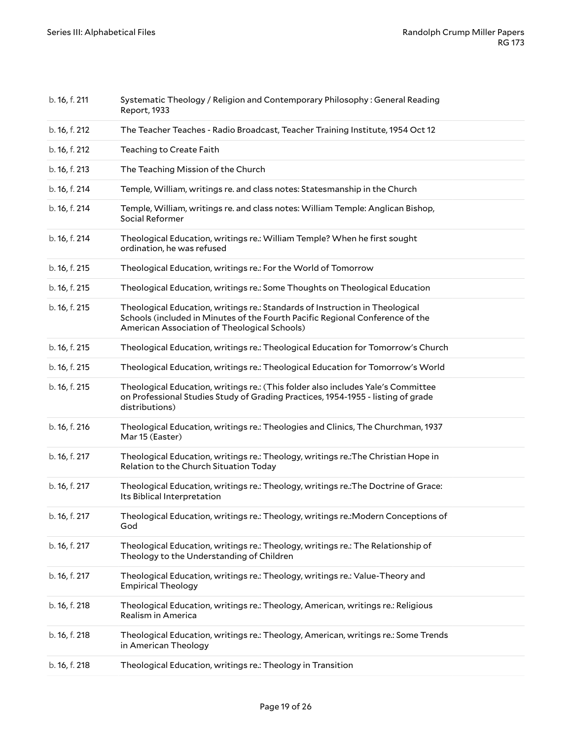| b. 16, f. 211 | Systematic Theology / Religion and Contemporary Philosophy: General Reading<br>Report, 1933                                                                                                                   |
|---------------|---------------------------------------------------------------------------------------------------------------------------------------------------------------------------------------------------------------|
| b. 16, f. 212 | The Teacher Teaches - Radio Broadcast, Teacher Training Institute, 1954 Oct 12                                                                                                                                |
| b. 16, f. 212 | Teaching to Create Faith                                                                                                                                                                                      |
| b. 16, f. 213 | The Teaching Mission of the Church                                                                                                                                                                            |
| b. 16, f. 214 | Temple, William, writings re. and class notes: Statesmanship in the Church                                                                                                                                    |
| b. 16, f. 214 | Temple, William, writings re. and class notes: William Temple: Anglican Bishop,<br>Social Reformer                                                                                                            |
| b. 16, f. 214 | Theological Education, writings re.: William Temple? When he first sought<br>ordination, he was refused                                                                                                       |
| b. 16, f. 215 | Theological Education, writings re.: For the World of Tomorrow                                                                                                                                                |
| b. 16, f. 215 | Theological Education, writings re.: Some Thoughts on Theological Education                                                                                                                                   |
| b. 16, f. 215 | Theological Education, writings re.: Standards of Instruction in Theological<br>Schools (included in Minutes of the Fourth Pacific Regional Conference of the<br>American Association of Theological Schools) |
| b. 16, f. 215 | Theological Education, writings re.: Theological Education for Tomorrow's Church                                                                                                                              |
| b. 16, f. 215 | Theological Education, writings re.: Theological Education for Tomorrow's World                                                                                                                               |
| b. 16, f. 215 | Theological Education, writings re.: (This folder also includes Yale's Committee<br>on Professional Studies Study of Grading Practices, 1954-1955 - listing of grade<br>distributions)                        |
| b. 16, f. 216 | Theological Education, writings re.: Theologies and Clinics, The Churchman, 1937<br>Mar 15 (Easter)                                                                                                           |
| b. 16, f. 217 | Theological Education, writings re.: Theology, writings re.: The Christian Hope in<br>Relation to the Church Situation Today                                                                                  |
| b. 16, f. 217 | Theological Education, writings re.: Theology, writings re.: The Doctrine of Grace:<br>Its Biblical Interpretation                                                                                            |
| b. 16, f. 217 | Theological Education, writings re.: Theology, writings re.: Modern Conceptions of<br>God                                                                                                                     |
| b. 16, f. 217 | Theological Education, writings re.: Theology, writings re.: The Relationship of<br>Theology to the Understanding of Children                                                                                 |
| b. 16, f. 217 | Theological Education, writings re.: Theology, writings re.: Value-Theory and<br><b>Empirical Theology</b>                                                                                                    |
| b. 16, f. 218 | Theological Education, writings re.: Theology, American, writings re.: Religious<br>Realism in America                                                                                                        |
| b. 16, f. 218 | Theological Education, writings re.: Theology, American, writings re.: Some Trends<br>in American Theology                                                                                                    |
| b. 16, f. 218 | Theological Education, writings re.: Theology in Transition                                                                                                                                                   |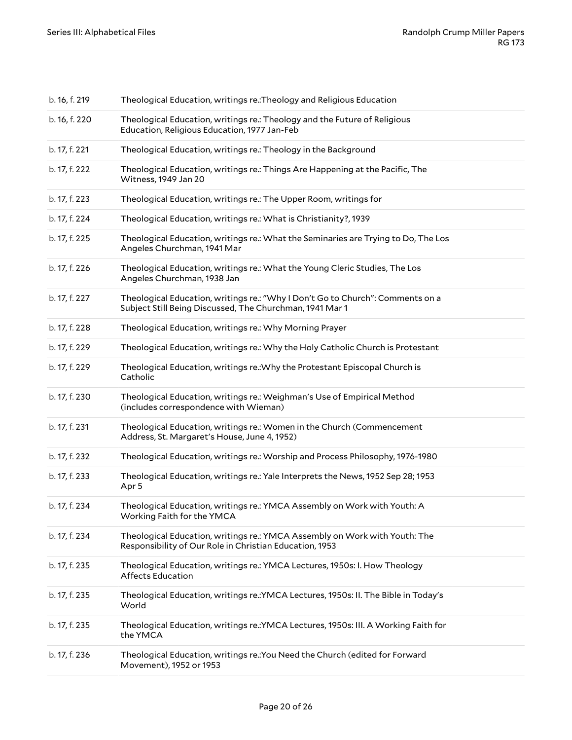| b. 16, f. 219 | Theological Education, writings re.: Theology and Religious Education                                                                      |
|---------------|--------------------------------------------------------------------------------------------------------------------------------------------|
| b. 16, f. 220 | Theological Education, writings re.: Theology and the Future of Religious<br>Education, Religious Education, 1977 Jan-Feb                  |
| b. 17, f. 221 | Theological Education, writings re.: Theology in the Background                                                                            |
| b. 17, f. 222 | Theological Education, writings re.: Things Are Happening at the Pacific, The<br>Witness, 1949 Jan 20                                      |
| b. 17, f. 223 | Theological Education, writings re.: The Upper Room, writings for                                                                          |
| b. 17, f. 224 | Theological Education, writings re.: What is Christianity?, 1939                                                                           |
| b. 17, f. 225 | Theological Education, writings re.: What the Seminaries are Trying to Do, The Los<br>Angeles Churchman, 1941 Mar                          |
| b. 17, f. 226 | Theological Education, writings re.: What the Young Cleric Studies, The Los<br>Angeles Churchman, 1938 Jan                                 |
| b. 17, f. 227 | Theological Education, writings re.: "Why I Don't Go to Church": Comments on a<br>Subject Still Being Discussed, The Churchman, 1941 Mar 1 |
| b. 17, f. 228 | Theological Education, writings re.: Why Morning Prayer                                                                                    |
| b. 17, f. 229 | Theological Education, writings re.: Why the Holy Catholic Church is Protestant                                                            |
| b. 17, f. 229 | Theological Education, writings re.: Why the Protestant Episcopal Church is<br>Catholic                                                    |
| b. 17, f. 230 | Theological Education, writings re.: Weighman's Use of Empirical Method<br>(includes correspondence with Wieman)                           |
| b. 17, f. 231 | Theological Education, writings re.: Women in the Church (Commencement<br>Address, St. Margaret's House, June 4, 1952)                     |
| b. 17, f. 232 | Theological Education, writings re.: Worship and Process Philosophy, 1976-1980                                                             |
| b. 17, f. 233 | Theological Education, writings re.: Yale Interprets the News, 1952 Sep 28; 1953<br>Apr 5                                                  |
| b. 17, f. 234 | Theological Education, writings re.: YMCA Assembly on Work with Youth: A<br>Working Faith for the YMCA                                     |
| b. 17, f. 234 | Theological Education, writings re.: YMCA Assembly on Work with Youth: The<br>Responsibility of Our Role in Christian Education, 1953      |
| b. 17, f. 235 | Theological Education, writings re.: YMCA Lectures, 1950s: I. How Theology<br>Affects Education                                            |
| b. 17, f. 235 | Theological Education, writings re.: YMCA Lectures, 1950s: II. The Bible in Today's<br>World                                               |
| b. 17, f. 235 | Theological Education, writings re.: YMCA Lectures, 1950s: III. A Working Faith for<br>the YMCA                                            |
| b. 17, f. 236 | Theological Education, writings re.: You Need the Church (edited for Forward<br>Movement), 1952 or 1953                                    |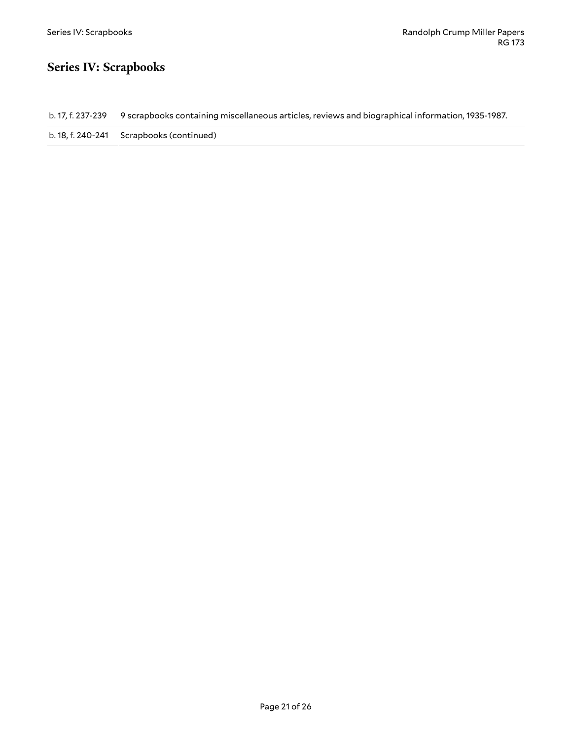#### <span id="page-20-0"></span>**Series IV: Scrapbooks**

b. 17, f. 237-239 9 scrapbooks containing miscellaneous articles, reviews and biographical information, 1935-1987.

b. 18, f. 240-241 Scrapbooks (continued)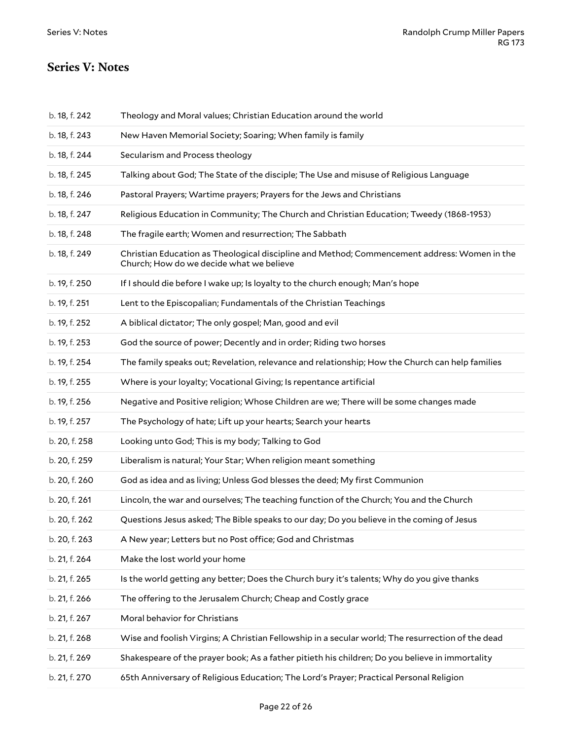#### <span id="page-21-0"></span>**Series V: Notes**

| b. 18, f. 242 | Theology and Moral values; Christian Education around the world                                                                          |
|---------------|------------------------------------------------------------------------------------------------------------------------------------------|
| b. 18, f. 243 | New Haven Memorial Society; Soaring; When family is family                                                                               |
| b. 18, f. 244 | Secularism and Process theology                                                                                                          |
| b. 18, f. 245 | Talking about God; The State of the disciple; The Use and misuse of Religious Language                                                   |
| b. 18, f. 246 | Pastoral Prayers; Wartime prayers; Prayers for the Jews and Christians                                                                   |
| b. 18, f. 247 | Religious Education in Community; The Church and Christian Education; Tweedy (1868-1953)                                                 |
| b. 18, f. 248 | The fragile earth; Women and resurrection; The Sabbath                                                                                   |
| b. 18, f. 249 | Christian Education as Theological discipline and Method; Commencement address: Women in the<br>Church; How do we decide what we believe |
| b. 19, f. 250 | If I should die before I wake up; Is loyalty to the church enough; Man's hope                                                            |
| b. 19, f. 251 | Lent to the Episcopalian; Fundamentals of the Christian Teachings                                                                        |
| b. 19, f. 252 | A biblical dictator; The only gospel; Man, good and evil                                                                                 |
| b. 19, f. 253 | God the source of power; Decently and in order; Riding two horses                                                                        |
| b. 19, f. 254 | The family speaks out; Revelation, relevance and relationship; How the Church can help families                                          |
| b. 19, f. 255 | Where is your loyalty; Vocational Giving; Is repentance artificial                                                                       |
| b. 19, f. 256 | Negative and Positive religion; Whose Children are we; There will be some changes made                                                   |
| b. 19, f. 257 | The Psychology of hate; Lift up your hearts; Search your hearts                                                                          |
| b. 20, f. 258 | Looking unto God; This is my body; Talking to God                                                                                        |
| b. 20, f. 259 | Liberalism is natural; Your Star; When religion meant something                                                                          |
| b. 20, f. 260 | God as idea and as living; Unless God blesses the deed; My first Communion                                                               |
| b. 20, f. 261 | Lincoln, the war and ourselves; The teaching function of the Church; You and the Church                                                  |
| b. 20, f. 262 | Questions Jesus asked; The Bible speaks to our day; Do you believe in the coming of Jesus                                                |
| b. 20, f. 263 | A New year; Letters but no Post office; God and Christmas                                                                                |
| b. 21, f. 264 | Make the lost world your home                                                                                                            |
| b. 21, f. 265 | Is the world getting any better; Does the Church bury it's talents; Why do you give thanks                                               |
| b. 21, f. 266 | The offering to the Jerusalem Church; Cheap and Costly grace                                                                             |
| b. 21, f. 267 | Moral behavior for Christians                                                                                                            |
| b. 21, f. 268 | Wise and foolish Virgins; A Christian Fellowship in a secular world; The resurrection of the dead                                        |
| b. 21, f. 269 | Shakespeare of the prayer book; As a father pitieth his children; Do you believe in immortality                                          |
| b. 21, f. 270 | 65th Anniversary of Religious Education; The Lord's Prayer; Practical Personal Religion                                                  |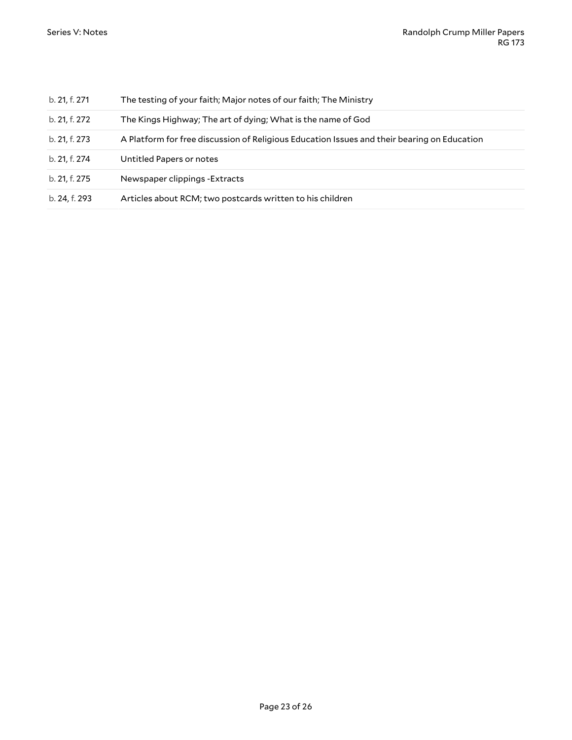| b. 21, f. 271 | The testing of your faith; Major notes of our faith; The Ministry                           |
|---------------|---------------------------------------------------------------------------------------------|
| b. 21, f. 272 | The Kings Highway; The art of dying; What is the name of God                                |
| b. 21, f. 273 | A Platform for free discussion of Religious Education Issues and their bearing on Education |
| b. 21, f. 274 | Untitled Papers or notes                                                                    |
| b. 21, f. 275 | Newspaper clippings - Extracts                                                              |
| b. 24, f. 293 | Articles about RCM; two postcards written to his children                                   |
|               |                                                                                             |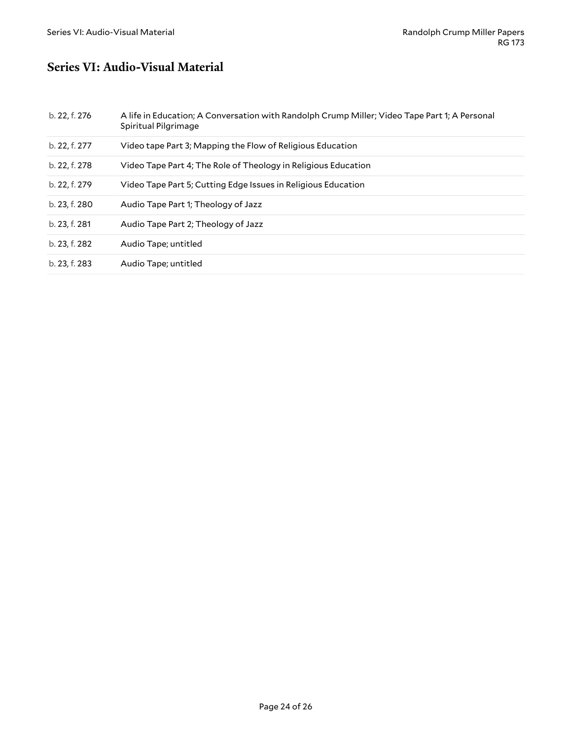#### <span id="page-23-0"></span>**Series VI: Audio-Visual Material**

| b. 22, f. 276 | A life in Education; A Conversation with Randolph Crump Miller; Video Tape Part 1; A Personal<br>Spiritual Pilgrimage |
|---------------|-----------------------------------------------------------------------------------------------------------------------|
| b. 22, f. 277 | Video tape Part 3; Mapping the Flow of Religious Education                                                            |
| b. 22, f. 278 | Video Tape Part 4; The Role of Theology in Religious Education                                                        |
| b. 22, f. 279 | Video Tape Part 5; Cutting Edge Issues in Religious Education                                                         |
| b. 23, f. 280 | Audio Tape Part 1; Theology of Jazz                                                                                   |
| b. 23, f. 281 | Audio Tape Part 2; Theology of Jazz                                                                                   |
| b. 23, f. 282 | Audio Tape; untitled                                                                                                  |
| b. 23, f. 283 | Audio Tape; untitled                                                                                                  |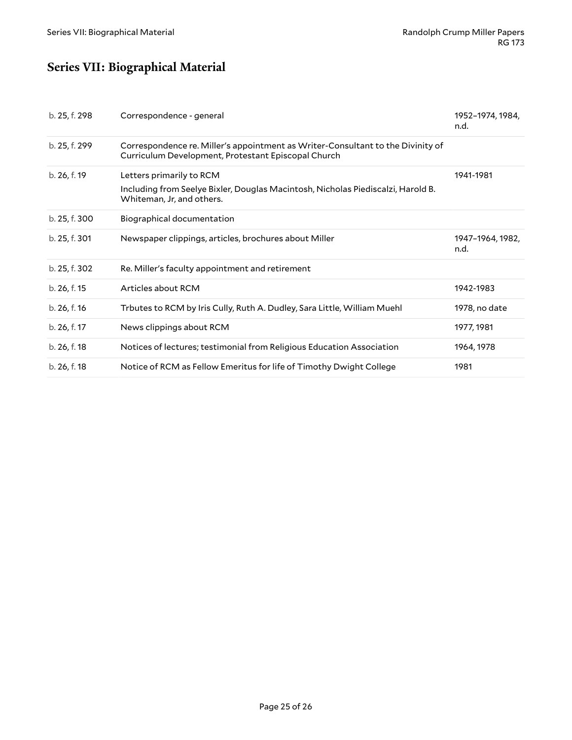# <span id="page-24-0"></span>**Series VII: Biographical Material**

| b. 25, f. 298 | Correspondence - general                                                                                                                  | 1952-1974, 1984,<br>n.d. |
|---------------|-------------------------------------------------------------------------------------------------------------------------------------------|--------------------------|
| b. 25, f. 299 | Correspondence re. Miller's appointment as Writer-Consultant to the Divinity of<br>Curriculum Development, Protestant Episcopal Church    |                          |
| b. 26, f. 19  | Letters primarily to RCM<br>Including from Seelye Bixler, Douglas Macintosh, Nicholas Piediscalzi, Harold B.<br>Whiteman, Jr, and others. | 1941-1981                |
| b. 25, f. 300 | Biographical documentation                                                                                                                |                          |
| b. 25, f. 301 | Newspaper clippings, articles, brochures about Miller                                                                                     | 1947-1964, 1982,<br>n.d. |
| b. 25, f. 302 | Re. Miller's faculty appointment and retirement                                                                                           |                          |
| b. 26, f. 15  | Articles about RCM                                                                                                                        | 1942-1983                |
| b. 26, f. 16  | Trbutes to RCM by Iris Cully, Ruth A. Dudley, Sara Little, William Muehl                                                                  | 1978, no date            |
| b. 26, f. 17  | News clippings about RCM                                                                                                                  | 1977, 1981               |
| b. 26, f. 18  | Notices of lectures; testimonial from Religious Education Association                                                                     | 1964, 1978               |
| b. 26, f. 18  | Notice of RCM as Fellow Emeritus for life of Timothy Dwight College                                                                       | 1981                     |